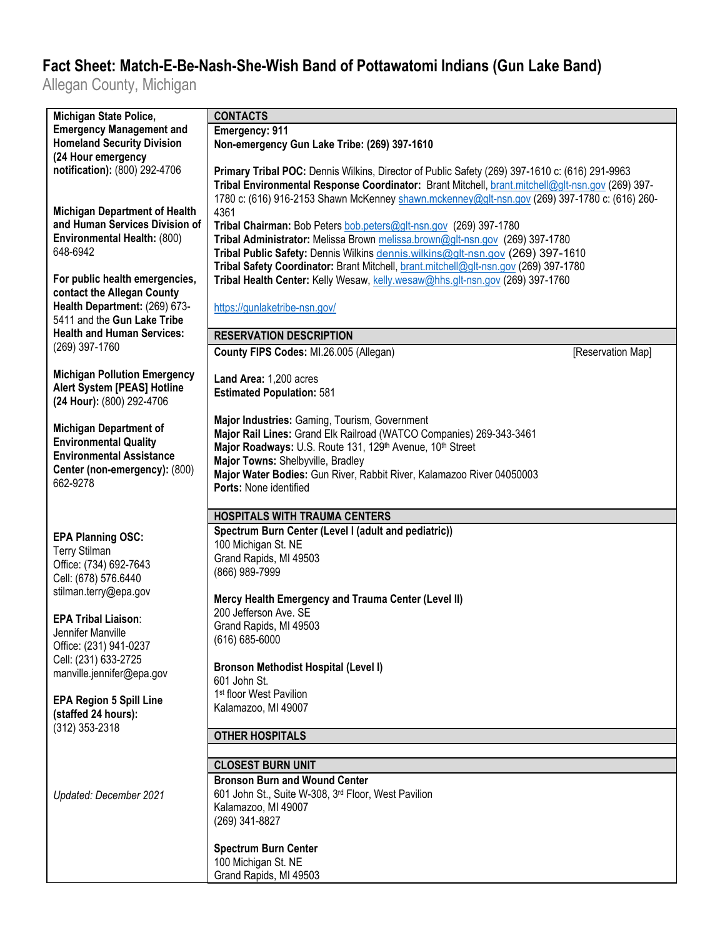## **Fact Sheet: Match-E-Be-Nash-She-Wish Band of Pottawatomi Indians (Gun Lake Band)**

Allegan County, Michigan

| Michigan State Police,               | <b>CONTACTS</b>                                                                                  |
|--------------------------------------|--------------------------------------------------------------------------------------------------|
| <b>Emergency Management and</b>      | Emergency: 911                                                                                   |
| <b>Homeland Security Division</b>    | Non-emergency Gun Lake Tribe: (269) 397-1610                                                     |
| (24 Hour emergency                   |                                                                                                  |
| notification): (800) 292-4706        | Primary Tribal POC: Dennis Wilkins, Director of Public Safety (269) 397-1610 c: (616) 291-9963   |
|                                      | Tribal Environmental Response Coordinator: Brant Mitchell, brant.mitchell@glt-nsn.gov (269) 397- |
|                                      | 1780 c: (616) 916-2153 Shawn McKenney shawn.mckenney@glt-nsn.gov (269) 397-1780 c: (616) 260-    |
| <b>Michigan Department of Health</b> | 4361                                                                                             |
| and Human Services Division of       | Tribal Chairman: Bob Peters bob.peters@glt-nsn.gov (269) 397-1780                                |
| Environmental Health: (800)          | Tribal Administrator: Melissa Brown melissa.brown@glt-nsn.gov (269) 397-1780                     |
| 648-6942                             | Tribal Public Safety: Dennis Wilkins dennis.wilkins@glt-nsn.gov (269) 397-1610                   |
|                                      | Tribal Safety Coordinator: Brant Mitchell, brant.mitchell@glt-nsn.gov (269) 397-1780             |
| For public health emergencies,       | Tribal Health Center: Kelly Wesaw, kelly wesaw@hhs.glt-nsn.gov (269) 397-1760                    |
| contact the Allegan County           |                                                                                                  |
| Health Department: (269) 673-        | https://gunlaketribe-nsn.gov/                                                                    |
| 5411 and the Gun Lake Tribe          |                                                                                                  |
| <b>Health and Human Services:</b>    | <b>RESERVATION DESCRIPTION</b>                                                                   |
| (269) 397-1760                       | County FIPS Codes: MI.26.005 (Allegan)<br>[Reservation Map]                                      |
|                                      |                                                                                                  |
| <b>Michigan Pollution Emergency</b>  | Land Area: 1,200 acres                                                                           |
| <b>Alert System [PEAS] Hotline</b>   | <b>Estimated Population: 581</b>                                                                 |
| (24 Hour): (800) 292-4706            |                                                                                                  |
|                                      | Major Industries: Gaming, Tourism, Government                                                    |
| <b>Michigan Department of</b>        | Major Rail Lines: Grand Elk Railroad (WATCO Companies) 269-343-3461                              |
| <b>Environmental Quality</b>         | Major Roadways: U.S. Route 131, 129th Avenue, 10th Street                                        |
| <b>Environmental Assistance</b>      | Major Towns: Shelbyville, Bradley                                                                |
| Center (non-emergency): (800)        | Major Water Bodies: Gun River, Rabbit River, Kalamazoo River 04050003                            |
| 662-9278                             | Ports: None identified                                                                           |
|                                      |                                                                                                  |
|                                      | <b>HOSPITALS WITH TRAUMA CENTERS</b>                                                             |
| <b>EPA Planning OSC:</b>             | Spectrum Burn Center (Level I (adult and pediatric))                                             |
| <b>Terry Stilman</b>                 | 100 Michigan St. NE                                                                              |
| Office: (734) 692-7643               | Grand Rapids, MI 49503                                                                           |
| Cell: (678) 576.6440                 | (866) 989-7999                                                                                   |
| stilman.terry@epa.gov                |                                                                                                  |
|                                      | Mercy Health Emergency and Trauma Center (Level II)                                              |
| <b>EPA Tribal Liaison:</b>           | 200 Jefferson Ave. SE                                                                            |
| Jennifer Manville                    | Grand Rapids, MI 49503                                                                           |
| Office: (231) 941-0237               | $(616) 685 - 6000$                                                                               |
| Cell: (231) 633-2725                 |                                                                                                  |
| manville.jennifer@epa.gov            | <b>Bronson Methodist Hospital (Level I)</b>                                                      |
|                                      | 601 John St.                                                                                     |
| <b>EPA Region 5 Spill Line</b>       | 1 <sup>st</sup> floor West Pavilion                                                              |
| (staffed 24 hours):                  | Kalamazoo, MI 49007                                                                              |
| (312) 353-2318                       |                                                                                                  |
|                                      | <b>OTHER HOSPITALS</b>                                                                           |
|                                      |                                                                                                  |
|                                      | <b>CLOSEST BURN UNIT</b>                                                                         |
|                                      | <b>Bronson Burn and Wound Center</b>                                                             |
| Updated: December 2021               | 601 John St., Suite W-308, 3rd Floor, West Pavilion                                              |
|                                      | Kalamazoo, MI 49007                                                                              |
|                                      | (269) 341-8827                                                                                   |
|                                      |                                                                                                  |
|                                      | <b>Spectrum Burn Center</b>                                                                      |
|                                      | 100 Michigan St. NE                                                                              |
|                                      | Grand Rapids, MI 49503                                                                           |
|                                      |                                                                                                  |